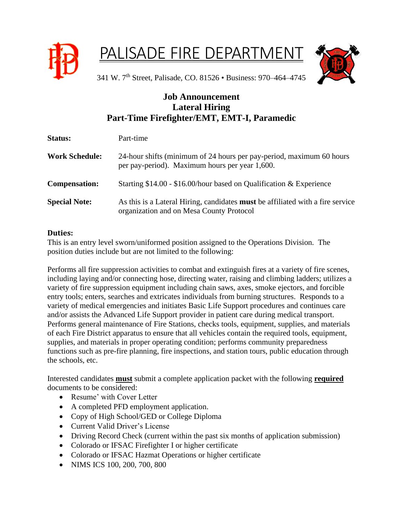

## PALISADE FIRE DEPARTMENT



341 W. 7th Street, Palisade, CO. 81526 • Business: 970–464–4745

## **Job Announcement Lateral Hiring Part-Time Firefighter/EMT, EMT-I, Paramedic**

| <b>Status:</b>        | Part-time                                                                                                                         |
|-----------------------|-----------------------------------------------------------------------------------------------------------------------------------|
| <b>Work Schedule:</b> | 24-hour shifts (minimum of 24 hours per pay-period, maximum 60 hours<br>per pay-period). Maximum hours per year 1,600.            |
| <b>Compensation:</b>  | Starting \$14.00 - \$16.00/hour based on Qualification & Experience                                                               |
| <b>Special Note:</b>  | As this is a Lateral Hiring, candidates <b>must</b> be affiliated with a fire service<br>organization and on Mesa County Protocol |

## **Duties:**

This is an entry level sworn/uniformed position assigned to the Operations Division. The position duties include but are not limited to the following:

Performs all fire suppression activities to combat and extinguish fires at a variety of fire scenes, including laying and/or connecting hose, directing water, raising and climbing ladders; utilizes a variety of fire suppression equipment including chain saws, axes, smoke ejectors, and forcible entry tools; enters, searches and extricates individuals from burning structures. Responds to a variety of medical emergencies and initiates Basic Life Support procedures and continues care and/or assists the Advanced Life Support provider in patient care during medical transport. Performs general maintenance of Fire Stations, checks tools, equipment, supplies, and materials of each Fire District apparatus to ensure that all vehicles contain the required tools, equipment, supplies, and materials in proper operating condition; performs community preparedness functions such as pre-fire planning, fire inspections, and station tours, public education through the schools, etc.

Interested candidates **must** submit a complete application packet with the following **required** documents to be considered:

- Resume' with Cover Letter
- A completed PFD employment application.
- Copy of High School/GED or College Diploma
- Current Valid Driver's License
- Driving Record Check (current within the past six months of application submission)
- Colorado or IFSAC Firefighter I or higher certificate
- Colorado or IFSAC Hazmat Operations or higher certificate
- NIMS ICS 100, 200, 700, 800